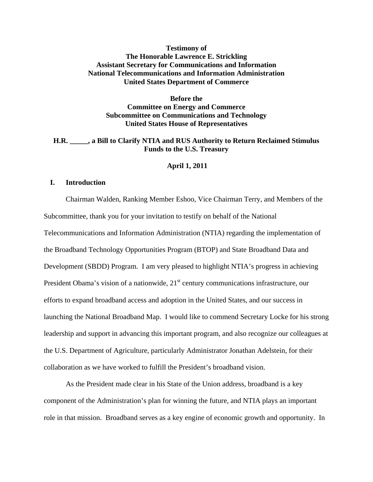## **Testimony of The Honorable Lawrence E. Strickling Assistant Secretary for Communications and Information National Telecommunications and Information Administration United States Department of Commerce**

## **Before the Committee on Energy and Commerce Subcommittee on Communications and Technology United States House of Representatives**

## **H.R. \_\_\_\_\_, a Bill to Clarify NTIA and RUS Authority to Return Reclaimed Stimulus Funds to the U.S. Treasury**

#### **April 1, 2011**

### **I. Introduction**

Chairman Walden, Ranking Member Eshoo, Vice Chairman Terry, and Members of the Subcommittee, thank you for your invitation to testify on behalf of the National Telecommunications and Information Administration (NTIA) regarding the implementation of the Broadband Technology Opportunities Program (BTOP) and State Broadband Data and Development (SBDD) Program. I am very pleased to highlight NTIA's progress in achieving President Obama's vision of a nationwide,  $21<sup>st</sup>$  century communications infrastructure, our efforts to expand broadband access and adoption in the United States, and our success in launching the National Broadband Map. I would like to commend Secretary Locke for his strong leadership and support in advancing this important program, and also recognize our colleagues at the U.S. Department of Agriculture, particularly Administrator Jonathan Adelstein, for their collaboration as we have worked to fulfill the President's broadband vision.

As the President made clear in his State of the Union address, broadband is a key component of the Administration's plan for winning the future, and NTIA plays an important role in that mission. Broadband serves as a key engine of economic growth and opportunity. In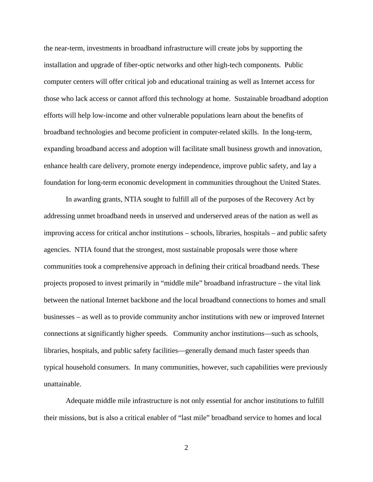the near-term, investments in broadband infrastructure will create jobs by supporting the installation and upgrade of fiber-optic networks and other high-tech components. Public computer centers will offer critical job and educational training as well as Internet access for those who lack access or cannot afford this technology at home. Sustainable broadband adoption efforts will help low-income and other vulnerable populations learn about the benefits of broadband technologies and become proficient in computer-related skills. In the long-term, expanding broadband access and adoption will facilitate small business growth and innovation, enhance health care delivery, promote energy independence, improve public safety, and lay a foundation for long-term economic development in communities throughout the United States.

In awarding grants, NTIA sought to fulfill all of the purposes of the Recovery Act by addressing unmet broadband needs in unserved and underserved areas of the nation as well as improving access for critical anchor institutions – schools, libraries, hospitals – and public safety agencies. NTIA found that the strongest, most sustainable proposals were those where communities took a comprehensive approach in defining their critical broadband needs. These projects proposed to invest primarily in "middle mile" broadband infrastructure – the vital link between the national Internet backbone and the local broadband connections to homes and small businesses – as well as to provide community anchor institutions with new or improved Internet connections at significantly higher speeds. Community anchor institutions—such as schools, libraries, hospitals, and public safety facilities—generally demand much faster speeds than typical household consumers. In many communities, however, such capabilities were previously unattainable.

Adequate middle mile infrastructure is not only essential for anchor institutions to fulfill their missions, but is also a critical enabler of "last mile" broadband service to homes and local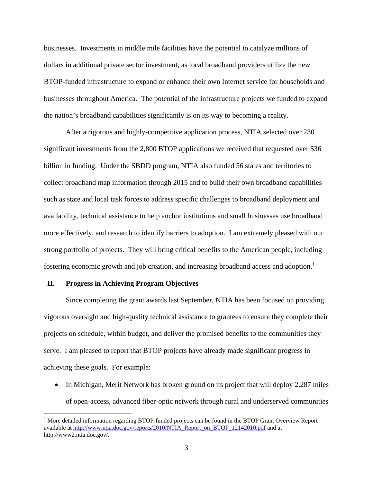businesses. Investments in middle mile facilities have the potential to catalyze millions of dollars in additional private sector investment, as local broadband providers utilize the new BTOP-funded infrastructure to expand or enhance their own Internet service for households and businesses throughout America. The potential of the infrastructure projects we funded to expand the nation's broadband capabilities significantly is on its way to becoming a reality.

After a rigorous and highly-competitive application process, NTIA selected over 230 significant investments from the 2,800 BTOP applications we received that requested over \$36 billion in funding. Under the SBDD program, NTIA also funded 56 states and territories to collect broadband map information through 2015 and to build their own broadband capabilities such as state and local task forces to address specific challenges to broadband deployment and availability, technical assistance to help anchor institutions and small businesses use broadband more effectively, and research to identify barriers to adoption. I am extremely pleased with our strong portfolio of projects. They will bring critical benefits to the American people, including fostering economic growth and job creation, and increasing broadband access and adoption.<sup>1</sup>

### **II. Progress in Achieving Program Objectives**

 $\overline{a}$ 

Since completing the grant awards last September, NTIA has been focused on providing vigorous oversight and high-quality technical assistance to grantees to ensure they complete their projects on schedule, within budget, and deliver the promised benefits to the communities they serve. I am pleased to report that BTOP projects have already made significant progress in achieving these goals. For example:

• In Michigan, Merit Network has broken ground on its project that will deploy 2,287 miles of open-access, advanced fiber-optic network through rural and underserved communities

<sup>&</sup>lt;sup>1</sup> More detailed information regarding BTOP-funded projects can be found in the BTOP Grant Overview Report available at http://www.ntia.doc.gov/reports/2010/NTIA\_Report\_on\_BTOP\_12142010.pdf and at http://www2.ntia.doc.gov/.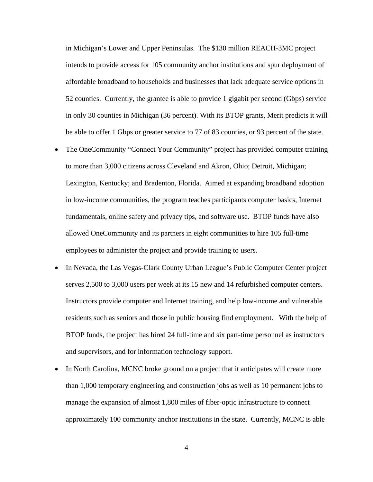in Michigan's Lower and Upper Peninsulas. The \$130 million REACH-3MC project intends to provide access for 105 community anchor institutions and spur deployment of affordable broadband to households and businesses that lack adequate service options in 52 counties. Currently, the grantee is able to provide 1 gigabit per second (Gbps) service in only 30 counties in Michigan (36 percent). With its BTOP grants, Merit predicts it will be able to offer 1 Gbps or greater service to 77 of 83 counties, or 93 percent of the state.

- The OneCommunity "Connect Your Community" project has provided computer training to more than 3,000 citizens across Cleveland and Akron, Ohio; Detroit, Michigan; Lexington, Kentucky; and Bradenton, Florida. Aimed at expanding broadband adoption in low-income communities, the program teaches participants computer basics, Internet fundamentals, online safety and privacy tips, and software use. BTOP funds have also allowed OneCommunity and its partners in eight communities to hire 105 full-time employees to administer the project and provide training to users.
- In Nevada, the Las Vegas-Clark County Urban League's Public Computer Center project serves 2,500 to 3,000 users per week at its 15 new and 14 refurbished computer centers. Instructors provide computer and Internet training, and help low-income and vulnerable residents such as seniors and those in public housing find employment. With the help of BTOP funds, the project has hired 24 full-time and six part-time personnel as instructors and supervisors, and for information technology support.
- In North Carolina, MCNC broke ground on a project that it anticipates will create more than 1,000 temporary engineering and construction jobs as well as 10 permanent jobs to manage the expansion of almost 1,800 miles of fiber-optic infrastructure to connect approximately 100 community anchor institutions in the state. Currently, MCNC is able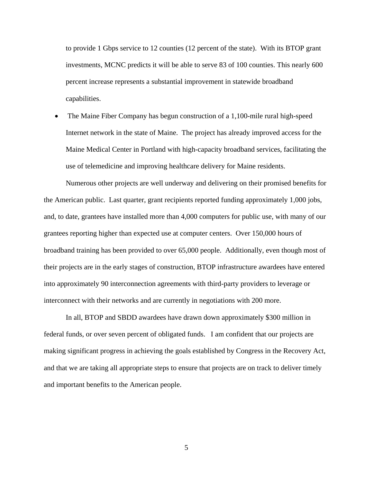to provide 1 Gbps service to 12 counties (12 percent of the state). With its BTOP grant investments, MCNC predicts it will be able to serve 83 of 100 counties. This nearly 600 percent increase represents a substantial improvement in statewide broadband capabilities.

• The Maine Fiber Company has begun construction of a 1,100-mile rural high-speed Internet network in the state of Maine. The project has already improved access for the Maine Medical Center in Portland with high-capacity broadband services, facilitating the use of telemedicine and improving healthcare delivery for Maine residents.

Numerous other projects are well underway and delivering on their promised benefits for the American public. Last quarter, grant recipients reported funding approximately 1,000 jobs, and, to date, grantees have installed more than 4,000 computers for public use, with many of our grantees reporting higher than expected use at computer centers. Over 150,000 hours of broadband training has been provided to over 65,000 people. Additionally, even though most of their projects are in the early stages of construction, BTOP infrastructure awardees have entered into approximately 90 interconnection agreements with third-party providers to leverage or interconnect with their networks and are currently in negotiations with 200 more.

In all, BTOP and SBDD awardees have drawn down approximately \$300 million in federal funds, or over seven percent of obligated funds. I am confident that our projects are making significant progress in achieving the goals established by Congress in the Recovery Act, and that we are taking all appropriate steps to ensure that projects are on track to deliver timely and important benefits to the American people.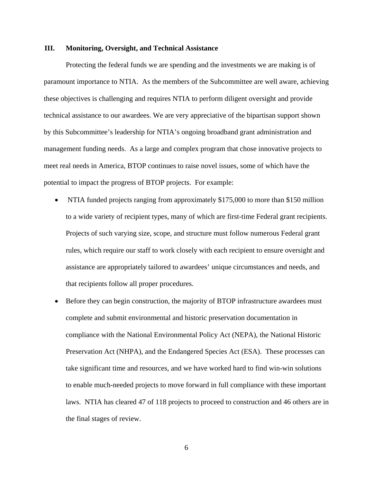#### **III. Monitoring, Oversight, and Technical Assistance**

Protecting the federal funds we are spending and the investments we are making is of paramount importance to NTIA. As the members of the Subcommittee are well aware, achieving these objectives is challenging and requires NTIA to perform diligent oversight and provide technical assistance to our awardees. We are very appreciative of the bipartisan support shown by this Subcommittee's leadership for NTIA's ongoing broadband grant administration and management funding needs. As a large and complex program that chose innovative projects to meet real needs in America, BTOP continues to raise novel issues, some of which have the potential to impact the progress of BTOP projects. For example:

- NTIA funded projects ranging from approximately \$175,000 to more than \$150 million to a wide variety of recipient types, many of which are first-time Federal grant recipients. Projects of such varying size, scope, and structure must follow numerous Federal grant rules, which require our staff to work closely with each recipient to ensure oversight and assistance are appropriately tailored to awardees' unique circumstances and needs, and that recipients follow all proper procedures.
- Before they can begin construction, the majority of BTOP infrastructure awardees must complete and submit environmental and historic preservation documentation in compliance with the National Environmental Policy Act (NEPA), the National Historic Preservation Act (NHPA), and the Endangered Species Act (ESA). These processes can take significant time and resources, and we have worked hard to find win-win solutions to enable much-needed projects to move forward in full compliance with these important laws. NTIA has cleared 47 of 118 projects to proceed to construction and 46 others are in the final stages of review.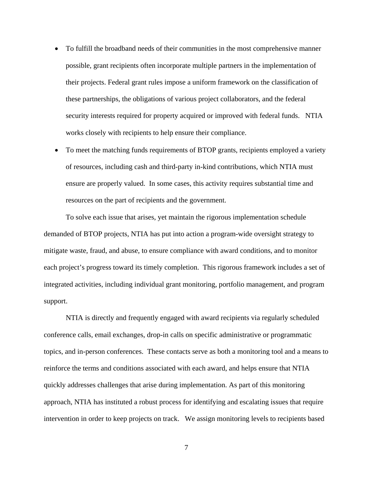- To fulfill the broadband needs of their communities in the most comprehensive manner possible, grant recipients often incorporate multiple partners in the implementation of their projects. Federal grant rules impose a uniform framework on the classification of these partnerships, the obligations of various project collaborators, and the federal security interests required for property acquired or improved with federal funds. NTIA works closely with recipients to help ensure their compliance.
- To meet the matching funds requirements of BTOP grants, recipients employed a variety of resources, including cash and third-party in-kind contributions, which NTIA must ensure are properly valued. In some cases, this activity requires substantial time and resources on the part of recipients and the government.

To solve each issue that arises, yet maintain the rigorous implementation schedule demanded of BTOP projects, NTIA has put into action a program-wide oversight strategy to mitigate waste, fraud, and abuse, to ensure compliance with award conditions, and to monitor each project's progress toward its timely completion. This rigorous framework includes a set of integrated activities, including individual grant monitoring, portfolio management, and program support.

NTIA is directly and frequently engaged with award recipients via regularly scheduled conference calls, email exchanges, drop-in calls on specific administrative or programmatic topics, and in-person conferences. These contacts serve as both a monitoring tool and a means to reinforce the terms and conditions associated with each award, and helps ensure that NTIA quickly addresses challenges that arise during implementation. As part of this monitoring approach, NTIA has instituted a robust process for identifying and escalating issues that require intervention in order to keep projects on track. We assign monitoring levels to recipients based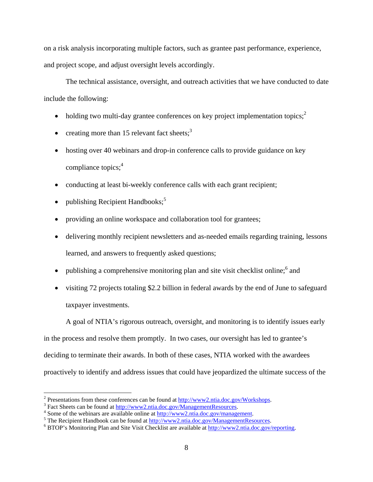on a risk analysis incorporating multiple factors, such as grantee past performance, experience, and project scope, and adjust oversight levels accordingly.

The technical assistance, oversight, and outreach activities that we have conducted to date include the following:

- holding two multi-day grantee conferences on key project implementation topics; $2^2$
- creating more than 15 relevant fact sheets;<sup>3</sup>
- hosting over 40 webinars and drop-in conference calls to provide guidance on key compliance topics; $4$
- conducting at least bi-weekly conference calls with each grant recipient;
- publishing Recipient Handbooks;<sup>5</sup>
- providing an online workspace and collaboration tool for grantees;
- delivering monthly recipient newsletters and as-needed emails regarding training, lessons learned, and answers to frequently asked questions;
- publishing a comprehensive monitoring plan and site visit checklist online;  $6$  and
- visiting 72 projects totaling \$2.2 billion in federal awards by the end of June to safeguard taxpayer investments.

A goal of NTIA's rigorous outreach, oversight, and monitoring is to identify issues early in the process and resolve them promptly. In two cases, our oversight has led to grantee's deciding to terminate their awards. In both of these cases, NTIA worked with the awardees proactively to identify and address issues that could have jeopardized the ultimate success of the

 $\overline{a}$ 

<sup>&</sup>lt;sup>2</sup> Presentations from these conferences can be found at  $\frac{http://www2.ntia.doc.gov/Workshops.}$ <br><sup>3</sup> Fost Shoats can be found at http://www.2.ntia.doc.gov/ManagamentBesources.

 $3$  Fact Sheets can be found at http://www2.ntia.doc.gov/ManagementResources.

<sup>&</sup>lt;sup>4</sup> Some of the webinars are available online at http://www2.ntia.doc.gov/management.

 $<sup>5</sup>$  The Recipient Handbook can be found at  $\frac{http://www2.ntia.doc.gov/ManagementResources.}$ </sup>

<sup>&</sup>lt;sup>6</sup> BTOP's Monitoring Plan and Site Visit Checklist are available at http://www2.ntia.doc.gov/reporting.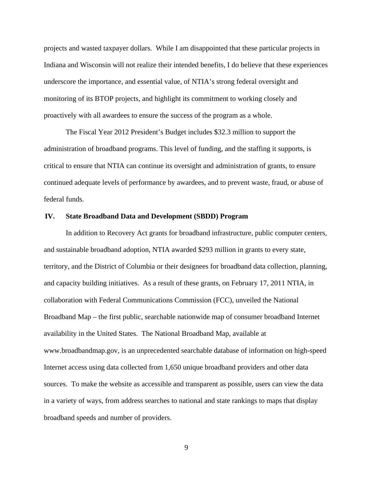projects and wasted taxpayer dollars. While I am disappointed that these particular projects in Indiana and Wisconsin will not realize their intended benefits, I do believe that these experiences underscore the importance, and essential value, of NTIA's strong federal oversight and monitoring of its BTOP projects, and highlight its commitment to working closely and proactively with all awardees to ensure the success of the program as a whole.

The Fiscal Year 2012 President's Budget includes \$32.3 million to support the administration of broadband programs. This level of funding, and the staffing it supports, is critical to ensure that NTIA can continue its oversight and administration of grants, to ensure continued adequate levels of performance by awardees, and to prevent waste, fraud, or abuse of federal funds.

#### **IV. State Broadband Data and Development (SBDD) Program**

In addition to Recovery Act grants for broadband infrastructure, public computer centers, and sustainable broadband adoption, NTIA awarded \$293 million in grants to every state, territory, and the District of Columbia or their designees for broadband data collection, planning, and capacity building initiatives. As a result of these grants, on February 17, 2011 NTIA, in collaboration with Federal Communications Commission (FCC), unveiled the National Broadband Map – the first public, searchable nationwide map of consumer broadband Internet availability in the United States. The National Broadband Map, available at www.broadbandmap.gov, is an unprecedented searchable database of information on high-speed Internet access using data collected from 1,650 unique broadband providers and other data sources. To make the website as accessible and transparent as possible, users can view the data in a variety of ways, from address searches to national and state rankings to maps that display broadband speeds and number of providers.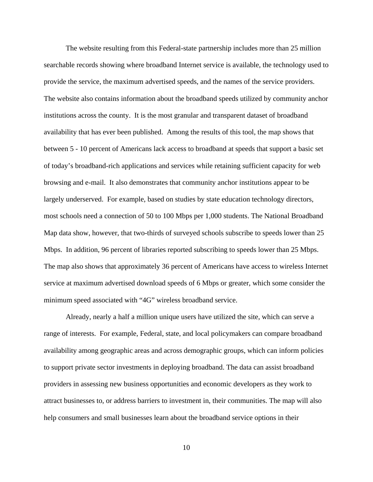The website resulting from this Federal-state partnership includes more than 25 million searchable records showing where broadband Internet service is available, the technology used to provide the service, the maximum advertised speeds, and the names of the service providers. The website also contains information about the broadband speeds utilized by community anchor institutions across the county. It is the most granular and transparent dataset of broadband availability that has ever been published. Among the results of this tool, the map shows that between 5 - 10 percent of Americans lack access to broadband at speeds that support a basic set of today's broadband-rich applications and services while retaining sufficient capacity for web browsing and e-mail. It also demonstrates that community anchor institutions appear to be largely underserved. For example, based on studies by state education technology directors, most schools need a connection of 50 to 100 Mbps per 1,000 students. The National Broadband Map data show, however, that two-thirds of surveyed schools subscribe to speeds lower than 25 Mbps. In addition, 96 percent of libraries reported subscribing to speeds lower than 25 Mbps. The map also shows that approximately 36 percent of Americans have access to wireless Internet service at maximum advertised download speeds of 6 Mbps or greater, which some consider the minimum speed associated with "4G" wireless broadband service.

Already, nearly a half a million unique users have utilized the site, which can serve a range of interests. For example, Federal, state, and local policymakers can compare broadband availability among geographic areas and across demographic groups, which can inform policies to support private sector investments in deploying broadband. The data can assist broadband providers in assessing new business opportunities and economic developers as they work to attract businesses to, or address barriers to investment in, their communities. The map will also help consumers and small businesses learn about the broadband service options in their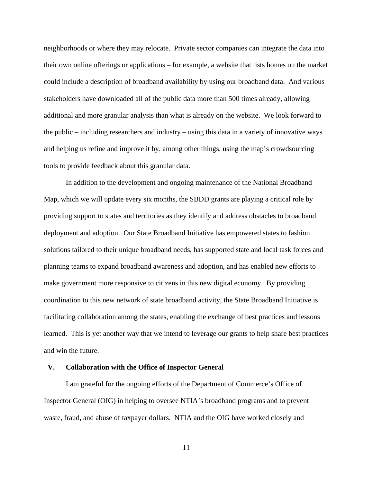neighborhoods or where they may relocate. Private sector companies can integrate the data into their own online offerings or applications – for example, a website that lists homes on the market could include a description of broadband availability by using our broadband data. And various stakeholders have downloaded all of the public data more than 500 times already, allowing additional and more granular analysis than what is already on the website. We look forward to the public – including researchers and industry – using this data in a variety of innovative ways and helping us refine and improve it by, among other things, using the map's crowdsourcing tools to provide feedback about this granular data.

In addition to the development and ongoing maintenance of the National Broadband Map, which we will update every six months, the SBDD grants are playing a critical role by providing support to states and territories as they identify and address obstacles to broadband deployment and adoption. Our State Broadband Initiative has empowered states to fashion solutions tailored to their unique broadband needs, has supported state and local task forces and planning teams to expand broadband awareness and adoption, and has enabled new efforts to make government more responsive to citizens in this new digital economy. By providing coordination to this new network of state broadband activity, the State Broadband Initiative is facilitating collaboration among the states, enabling the exchange of best practices and lessons learned. This is yet another way that we intend to leverage our grants to help share best practices and win the future.

### **V. Collaboration with the Office of Inspector General**

I am grateful for the ongoing efforts of the Department of Commerce's Office of Inspector General (OIG) in helping to oversee NTIA's broadband programs and to prevent waste, fraud, and abuse of taxpayer dollars. NTIA and the OIG have worked closely and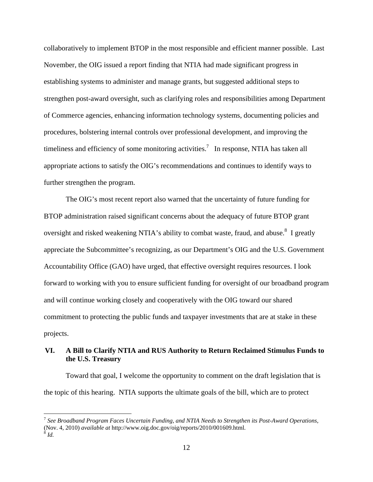collaboratively to implement BTOP in the most responsible and efficient manner possible. Last November, the OIG issued a report finding that NTIA had made significant progress in establishing systems to administer and manage grants, but suggested additional steps to strengthen post-award oversight, such as clarifying roles and responsibilities among Department of Commerce agencies, enhancing information technology systems, documenting policies and procedures, bolstering internal controls over professional development, and improving the timeliness and efficiency of some monitoring activities.<sup>7</sup> In response, NTIA has taken all appropriate actions to satisfy the OIG's recommendations and continues to identify ways to further strengthen the program.

The OIG's most recent report also warned that the uncertainty of future funding for BTOP administration raised significant concerns about the adequacy of future BTOP grant oversight and risked weakening NTIA's ability to combat waste, fraud, and abuse.<sup>8</sup> I greatly appreciate the Subcommittee's recognizing, as our Department's OIG and the U.S. Government Accountability Office (GAO) have urged, that effective oversight requires resources. I look forward to working with you to ensure sufficient funding for oversight of our broadband program and will continue working closely and cooperatively with the OIG toward our shared commitment to protecting the public funds and taxpayer investments that are at stake in these projects.

# **VI. A Bill to Clarify NTIA and RUS Authority to Return Reclaimed Stimulus Funds to the U.S. Treasury**

Toward that goal, I welcome the opportunity to comment on the draft legislation that is the topic of this hearing. NTIA supports the ultimate goals of the bill, which are to protect

 $\overline{a}$ 

<sup>7</sup> *See Broadband Program Faces Uncertain Funding, and NTIA Needs to Strengthen its Post-Award Operations*, (Nov. 4, 2010) *available at* http://www.oig.doc.gov/oig/reports/2010/001609.html. 8 *Id.*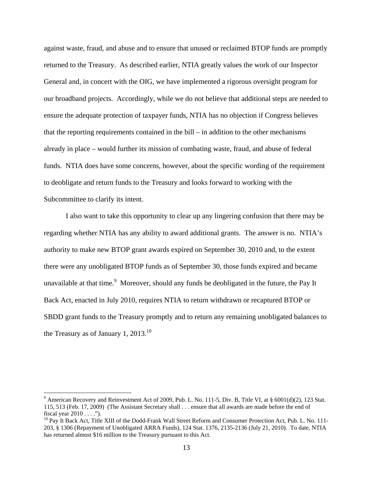against waste, fraud, and abuse and to ensure that unused or reclaimed BTOP funds are promptly returned to the Treasury. As described earlier, NTIA greatly values the work of our Inspector General and, in concert with the OIG, we have implemented a rigorous oversight program for our broadband projects. Accordingly, while we do not believe that additional steps are needed to ensure the adequate protection of taxpayer funds, NTIA has no objection if Congress believes that the reporting requirements contained in the bill – in addition to the other mechanisms already in place – would further its mission of combating waste, fraud, and abuse of federal funds. NTIA does have some concerns, however, about the specific wording of the requirement to deobligate and return funds to the Treasury and looks forward to working with the Subcommittee to clarify its intent.

I also want to take this opportunity to clear up any lingering confusion that there may be regarding whether NTIA has any ability to award additional grants. The answer is no. NTIA's authority to make new BTOP grant awards expired on September 30, 2010 and, to the extent there were any unobligated BTOP funds as of September 30, those funds expired and became unavailable at that time.<sup>9</sup> Moreover, should any funds be deobligated in the future, the Pay It Back Act, enacted in July 2010, requires NTIA to return withdrawn or recaptured BTOP or SBDD grant funds to the Treasury promptly and to return any remaining unobligated balances to the Treasury as of January 1,  $2013$ <sup>10</sup>

 $\overline{a}$ 

<sup>&</sup>lt;sup>9</sup> American Recovery and Reinvestment Act of 2009, Pub. L. No. 111-5, Div. B, Title VI, at  $\S$  6001(d)(2), 123 Stat. 115, 513 (Feb. 17, 2009) (The Assistant Secretary shall . . . ensure that all awards are made before the end of fiscal year  $2010...$ ").

<sup>&</sup>lt;sup>10</sup> Pay It Back Act, Title XIII of the Dodd-Frank Wall Street Reform and Consumer Protection Act, Pub. L. No. 111-203, § 1306 (Repayment of Unobligated ARRA Funds), 124 Stat. 1376, 2135-2136 (July 21, 2010). To date, NTIA has returned almost \$16 million to the Treasury pursuant to this Act.